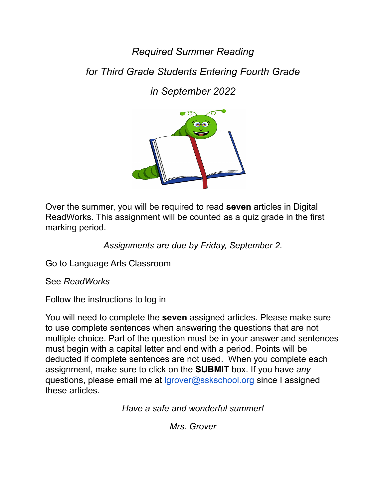*Required Summer Reading*

*for Third Grade Students Entering Fourth Grade*

*in September 2022*



Over the summer, you will be required to read **seven** articles in Digital ReadWorks. This assignment will be counted as a quiz grade in the first marking period.

*Assignments are due by Friday, September 2.*

Go to Language Arts Classroom

See *ReadWorks*

Follow the instructions to log in

You will need to complete the **seven** assigned articles. Please make sure to use complete sentences when answering the questions that are not multiple choice. Part of the question must be in your answer and sentences must begin with a capital letter and end with a period. Points will be deducted if complete sentences are not used. When you complete each assignment, make sure to click on the **SUBMIT** box. If you have *any* questions, please email me at [lgrover@sskschool.org](mailto:lgrover@sskschool.org) since I assigned these articles.

*Have a safe and wonderful summer!*

*Mrs. Grover*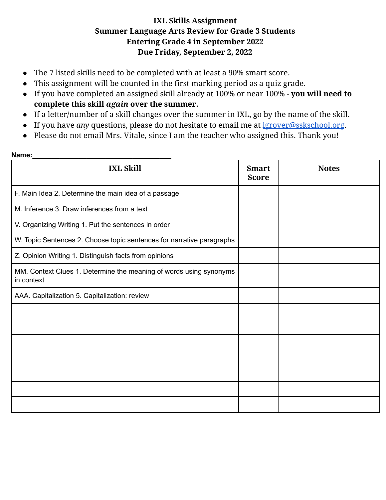## **IXL Skills Assignment Summer Language Arts Review for Grade 3 Students Entering Grade 4 in September 2022 Due Friday, September 2, 2022**

- The 7 listed skills need to be completed with at least a 90% smart score.
- This assignment will be counted in the first marking period as a quiz grade.
- If you have completed an assigned skill already at 100% or near 100% **you will need to complete this skill** *again* **over the summer.**
- If a letter/number of a skill changes over the summer in IXL, go by the name of the skill.
- If you have *any* questions, please do not hesitate to email me at [lgrover@sskschool.org](mailto:lgrover@sskschool.org).
- Please do not email Mrs. Vitale, since I am the teacher who assigned this. Thank you!

## **Name:**\_\_\_\_\_\_\_\_\_\_\_\_\_\_\_\_\_\_\_\_\_\_\_\_\_\_\_\_\_\_\_\_\_\_\_\_

| <b>IXL Skill</b>                                                                 | <b>Smart</b><br><b>Score</b> | <b>Notes</b> |
|----------------------------------------------------------------------------------|------------------------------|--------------|
| F. Main Idea 2. Determine the main idea of a passage                             |                              |              |
| M. Inference 3. Draw inferences from a text                                      |                              |              |
| V. Organizing Writing 1. Put the sentences in order                              |                              |              |
| W. Topic Sentences 2. Choose topic sentences for narrative paragraphs            |                              |              |
| Z. Opinion Writing 1. Distinguish facts from opinions                            |                              |              |
| MM. Context Clues 1. Determine the meaning of words using synonyms<br>in context |                              |              |
| AAA. Capitalization 5. Capitalization: review                                    |                              |              |
|                                                                                  |                              |              |
|                                                                                  |                              |              |
|                                                                                  |                              |              |
|                                                                                  |                              |              |
|                                                                                  |                              |              |
|                                                                                  |                              |              |
|                                                                                  |                              |              |